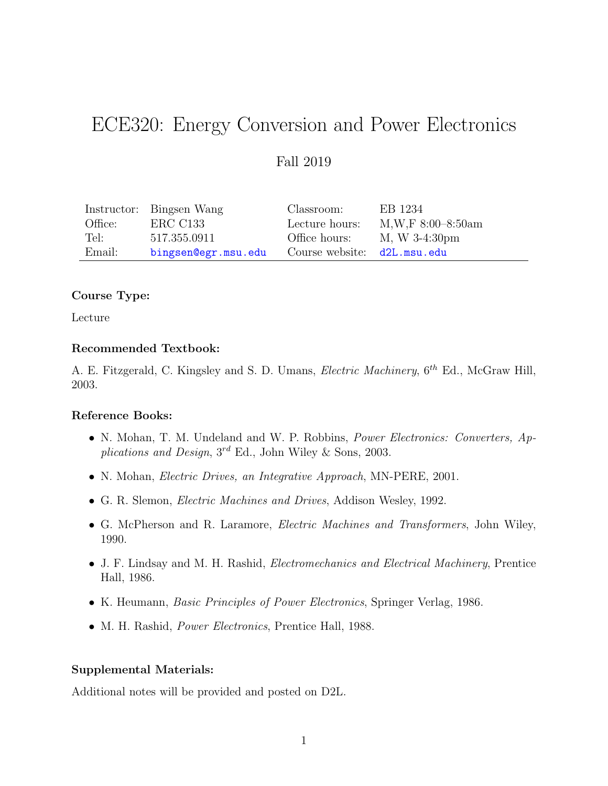# ECE320: Energy Conversion and Power Electronics

# Fall 2019

|         | Instructor: Bingsen Wang | Classroom:                  | EB 1234             |
|---------|--------------------------|-----------------------------|---------------------|
| Office: | ERC C133                 | Lecture hours:              | $M,W,F 8:00-8:50am$ |
| Tel:    | 517.355.0911             | Office hours:               | M, W 3-4:30pm       |
| Email:  | bingsen@egr.msu.edu      | Course website: d2L.msu.edu |                     |

## Course Type:

Lecture

## Recommended Textbook:

A. E. Fitzgerald, C. Kingsley and S. D. Umans, *Electric Machinery*,  $6^{th}$  Ed., McGraw Hill, 2003.

## Reference Books:

- N. Mohan, T. M. Undeland and W. P. Robbins, Power Electronics: Converters, Applications and Design, 3<sup>rd</sup> Ed., John Wiley & Sons, 2003.
- N. Mohan, Electric Drives, an Integrative Approach, MN-PERE, 2001.
- G. R. Slemon, Electric Machines and Drives, Addison Wesley, 1992.
- G. McPherson and R. Laramore, Electric Machines and Transformers, John Wiley, 1990.
- J. F. Lindsay and M. H. Rashid, Electromechanics and Electrical Machinery, Prentice Hall, 1986.
- K. Heumann, Basic Principles of Power Electronics, Springer Verlag, 1986.
- M. H. Rashid, *Power Electronics*, Prentice Hall, 1988.

## Supplemental Materials:

Additional notes will be provided and posted on D2L.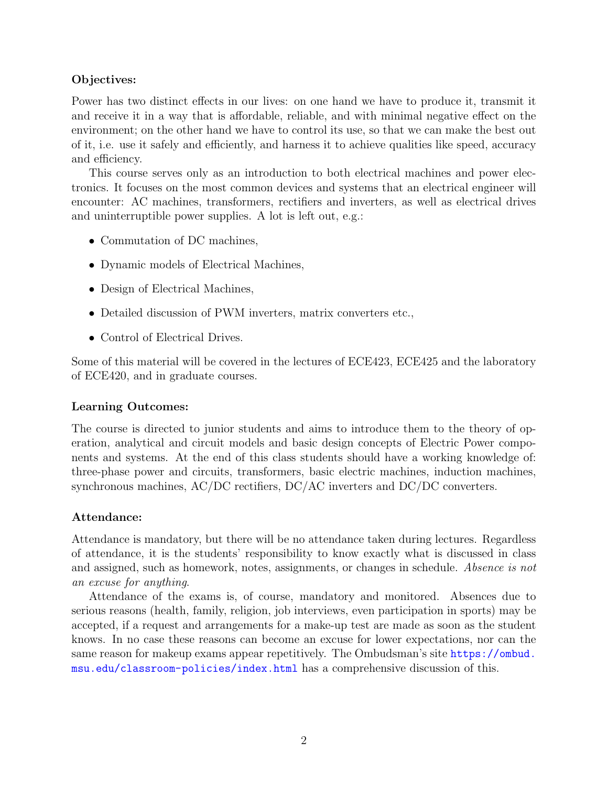## Objectives:

Power has two distinct effects in our lives: on one hand we have to produce it, transmit it and receive it in a way that is affordable, reliable, and with minimal negative effect on the environment; on the other hand we have to control its use, so that we can make the best out of it, i.e. use it safely and efficiently, and harness it to achieve qualities like speed, accuracy and efficiency.

This course serves only as an introduction to both electrical machines and power electronics. It focuses on the most common devices and systems that an electrical engineer will encounter: AC machines, transformers, rectifiers and inverters, as well as electrical drives and uninterruptible power supplies. A lot is left out, e.g.:

- Commutation of DC machines,
- Dynamic models of Electrical Machines,
- Design of Electrical Machines,
- Detailed discussion of PWM inverters, matrix converters etc.,
- Control of Electrical Drives.

Some of this material will be covered in the lectures of ECE423, ECE425 and the laboratory of ECE420, and in graduate courses.

## Learning Outcomes:

The course is directed to junior students and aims to introduce them to the theory of operation, analytical and circuit models and basic design concepts of Electric Power components and systems. At the end of this class students should have a working knowledge of: three-phase power and circuits, transformers, basic electric machines, induction machines, synchronous machines, AC/DC rectifiers, DC/AC inverters and DC/DC converters.

## Attendance:

Attendance is mandatory, but there will be no attendance taken during lectures. Regardless of attendance, it is the students' responsibility to know exactly what is discussed in class and assigned, such as homework, notes, assignments, or changes in schedule. Absence is not an excuse for anything.

Attendance of the exams is, of course, mandatory and monitored. Absences due to serious reasons (health, family, religion, job interviews, even participation in sports) may be accepted, if a request and arrangements for a make-up test are made as soon as the student knows. In no case these reasons can become an excuse for lower expectations, nor can the same reason for makeup exams appear repetitively. The Ombudsman's site [https://ombud.](https://ombud.msu.edu/classroom-policies/index.html) [msu.edu/classroom-policies/index.html](https://ombud.msu.edu/classroom-policies/index.html) has a comprehensive discussion of this.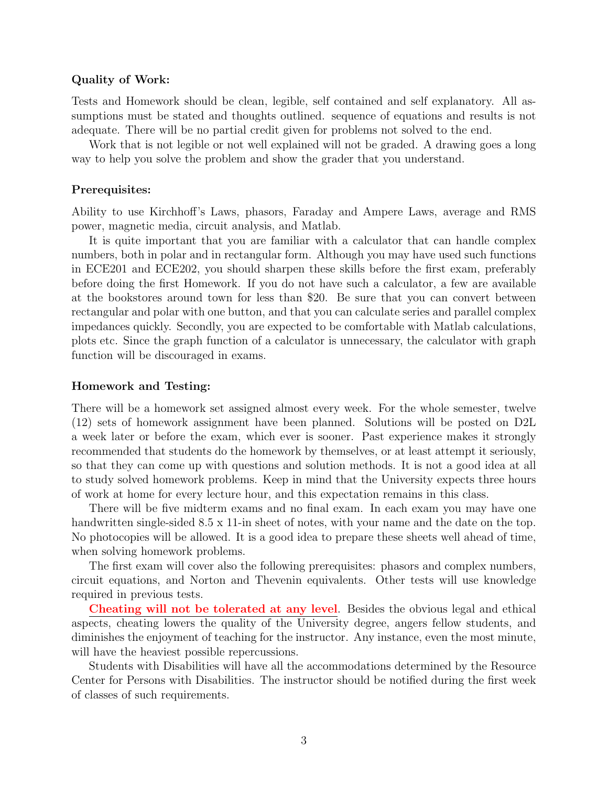## Quality of Work:

Tests and Homework should be clean, legible, self contained and self explanatory. All assumptions must be stated and thoughts outlined. sequence of equations and results is not adequate. There will be no partial credit given for problems not solved to the end.

Work that is not legible or not well explained will not be graded. A drawing goes a long way to help you solve the problem and show the grader that you understand.

## Prerequisites:

Ability to use Kirchhoff's Laws, phasors, Faraday and Ampere Laws, average and RMS power, magnetic media, circuit analysis, and Matlab.

It is quite important that you are familiar with a calculator that can handle complex numbers, both in polar and in rectangular form. Although you may have used such functions in ECE201 and ECE202, you should sharpen these skills before the first exam, preferably before doing the first Homework. If you do not have such a calculator, a few are available at the bookstores around town for less than \$20. Be sure that you can convert between rectangular and polar with one button, and that you can calculate series and parallel complex impedances quickly. Secondly, you are expected to be comfortable with Matlab calculations, plots etc. Since the graph function of a calculator is unnecessary, the calculator with graph function will be discouraged in exams.

#### Homework and Testing:

There will be a homework set assigned almost every week. For the whole semester, twelve (12) sets of homework assignment have been planned. Solutions will be posted on D2L a week later or before the exam, which ever is sooner. Past experience makes it strongly recommended that students do the homework by themselves, or at least attempt it seriously, so that they can come up with questions and solution methods. It is not a good idea at all to study solved homework problems. Keep in mind that the University expects three hours of work at home for every lecture hour, and this expectation remains in this class.

There will be five midterm exams and no final exam. In each exam you may have one handwritten single-sided 8.5 x 11-in sheet of notes, with your name and the date on the top. No photocopies will be allowed. It is a good idea to prepare these sheets well ahead of time, when solving homework problems.

The first exam will cover also the following prerequisites: phasors and complex numbers, circuit equations, and Norton and Thevenin equivalents. Other tests will use knowledge required in previous tests.

Cheating will not be tolerated at any level. Besides the obvious legal and ethical aspects, cheating lowers the quality of the University degree, angers fellow students, and diminishes the enjoyment of teaching for the instructor. Any instance, even the most minute, will have the heaviest possible repercussions.

Students with Disabilities will have all the accommodations determined by the Resource Center for Persons with Disabilities. The instructor should be notified during the first week of classes of such requirements.